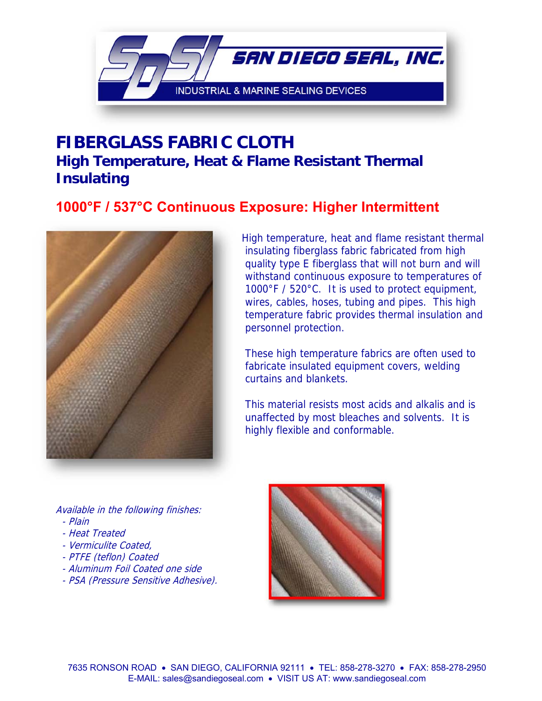

# **FIBERGLASS FABRIC CLOTH High Temperature, Heat & Flame Resistant Thermal Insulating**

## **1000°F / 537°C Continuous Exposure: Higher Intermittent**



High temperature, heat and flame resistant thermal insulating fiberglass fabric fabricated from high quality type E fiberglass that will not burn and will withstand continuous exposure to temperatures of 1000°F / 520°C. It is used to protect equipment, wires, cables, hoses, tubing and pipes. This high temperature fabric provides thermal insulation and personnel protection.

These high temperature fabrics are often used to fabricate insulated equipment covers, welding curtains and blankets.

This material resists most acids and alkalis and is unaffected by most bleaches and solvents. It is highly flexible and conformable.

Available in the following finishes: - Plain

- Heat Treated
- Vermiculite Coated,
- PTFE (teflon) Coated
- Aluminum Foil Coated one side
- PSA (Pressure Sensitive Adhesive).

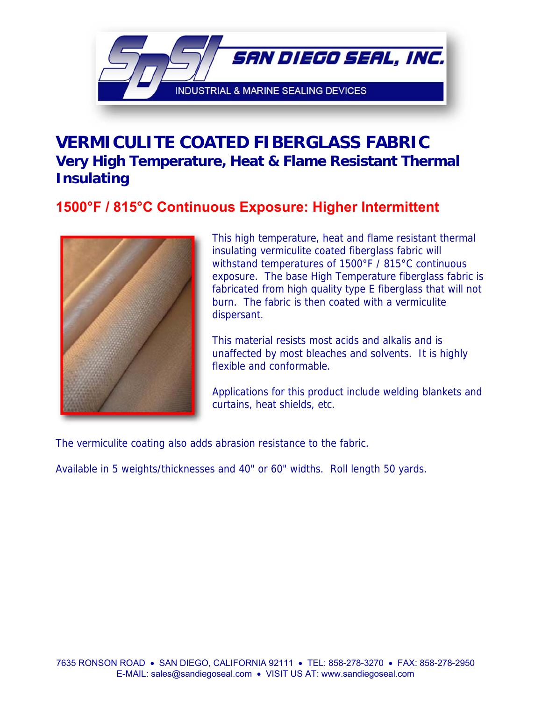

## **VERMICULITE COATED FIBERGLASS FABRIC Very High Temperature, Heat & Flame Resistant Thermal Insulating**

## **1500°F / 815°C Continuous Exposure: Higher Intermittent**



This high temperature, heat and flame resistant thermal insulating vermiculite coated fiberglass fabric will withstand temperatures of 1500°F / 815°C continuous exposure. The base High Temperature fiberglass fabric is fabricated from high quality type E fiberglass that will not burn. The fabric is then coated with a vermiculite dispersant.

This material resists most acids and alkalis and is unaffected by most bleaches and solvents. It is highly flexible and conformable.

Applications for this product include welding blankets and curtains, heat shields, etc.

The vermiculite coating also adds abrasion resistance to the fabric.

Available in 5 weights/thicknesses and 40" or 60" widths. Roll length 50 yards.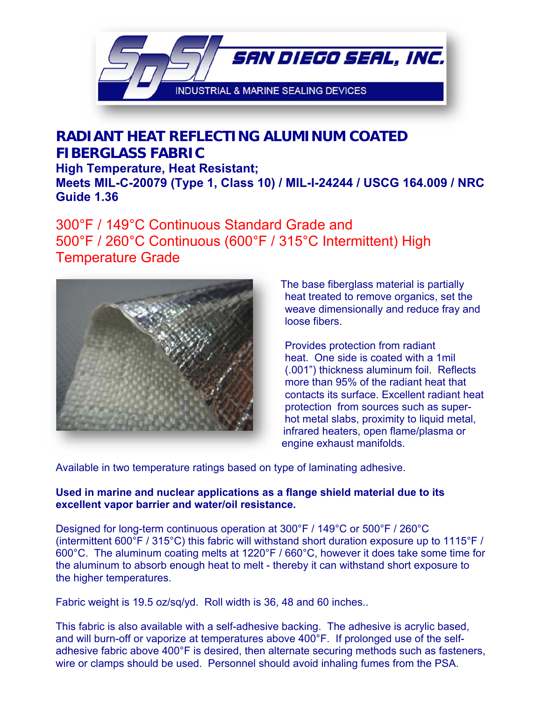

### **RADIANT HEAT REFLECTING ALUMINUM COATED FIBERGLASS FABRIC High Temperature, Heat Resistant; Meets MIL-C-20079 (Type 1, Class 10) / MIL-I-24244 / USCG 164.009 / NRC Guide 1.36**

### 300°F / 149°C Continuous Standard Grade and 500°F / 260°C Continuous (600°F / 315°C Intermittent) High Temperature Grade



The base fiberglass material is partially heat treated to remove organics, set the weave dimensionally and reduce fray and loose fibers.

Provides protection from radiant heat. One side is coated with a 1mil (.001") thickness aluminum foil. Reflects more than 95% of the radiant heat that contacts its surface. Excellent radiant heat protection from sources such as superhot metal slabs, proximity to liquid metal, infrared heaters, open flame/plasma or engine exhaust manifolds.

Available in two temperature ratings based on type of laminating adhesive.

#### **Used in marine and nuclear applications as a flange shield material due to its excellent vapor barrier and water/oil resistance.**

Designed for long-term continuous operation at 300°F / 149°C or 500°F / 260°C (intermittent 600°F / 315°C) this fabric will withstand short duration exposure up to 1115°F / 600°C. The aluminum coating melts at 1220°F / 660°C, however it does take some time for the aluminum to absorb enough heat to melt - thereby it can withstand short exposure to the higher temperatures.

Fabric weight is 19.5 oz/sq/yd. Roll width is 36, 48 and 60 inches..

This fabric is also available with a self-adhesive backing. The adhesive is acrylic based, and will burn-off or vaporize at temperatures above 400°F. If prolonged use of the selfadhesive fabric above 400°F is desired, then alternate securing methods such as fasteners, wire or clamps should be used. Personnel should avoid inhaling fumes from the PSA.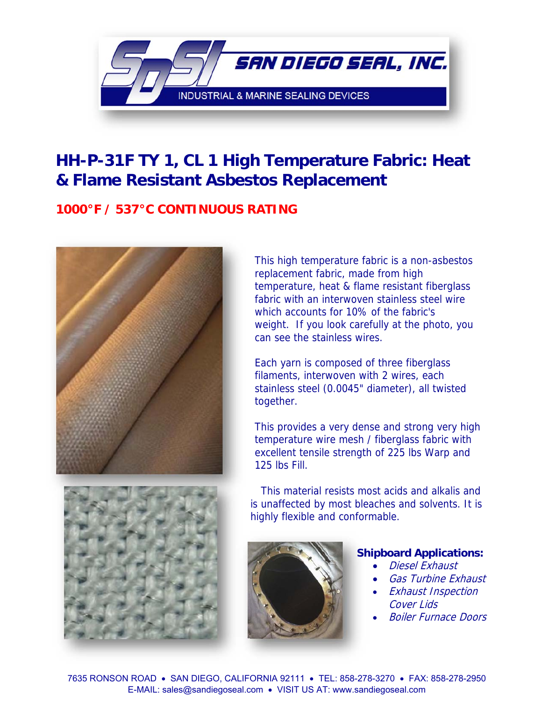

# **HH-P-31F TY 1, CL 1 High Temperature Fabric: Heat & Flame Resistant Asbestos Replacement**

### **1000°F / 537°C CONTINUOUS RATING**



This high temperature fabric is a non-asbestos replacement fabric, made from high temperature, heat & flame resistant fiberglass fabric with an interwoven stainless steel wire which accounts for 10% of the fabric's weight. If you look carefully at the photo, you can see the stainless wires.

Each yarn is composed of three fiberglass filaments, interwoven with 2 wires, each stainless steel (0.0045" diameter), all twisted together.

This provides a very dense and strong very high temperature wire mesh / fiberglass fabric with excellent tensile strength of 225 lbs Warp and 125 lbs Fill.



 This material resists most acids and alkalis and is unaffected by most bleaches and solvents. It is highly flexible and conformable.



#### **Shipboard Applications:**

- Diesel Exhaust
- Gas Turbine Exhaust
- Exhaust Inspection Cover Lids
- Boiler Furnace Doors